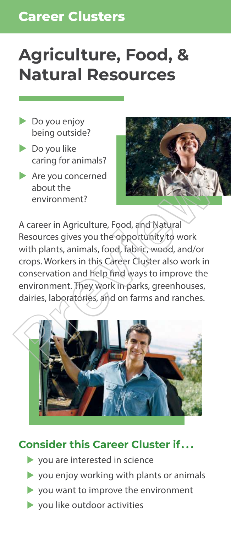# **Career Clusters Career Clusters**

# **Agriculture, Food, & Natural Resources**

- $\triangleright$  Do you enjoy being outside?
- $\triangleright$  Do you like caring for animals?
- $\blacktriangleright$  Are you concerned about the environment?



A career in Agriculture, Food, and Natural Resources gives you the opportunity to work with plants, animals, food, fabric, wood, and/or crops. Workers in this Career Cluster also work in conservation and help find ways to improve the environment. They work in parks, greenhouses, dairies, laboratories, and on farms and ranches. Are you concerned<br>about the<br>environment?<br>A career in Agriculture, Food, and Natural<br>Resources gives you the opportunity to work<br>with plants, animals, food, fabric, wood, and/or<br>crops. Workers in this Career Cluster also wo



- **v** vou are interested in science
- $\triangleright$  you enjoy working with plants or animals
- **you want to improve the environment**
- **v** you like outdoor activities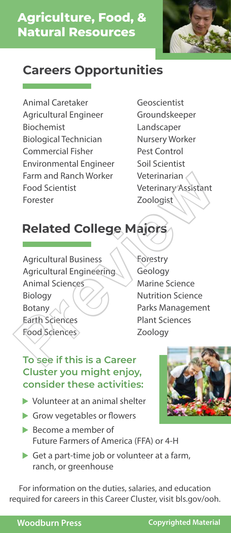

Animal Caretaker Agricultural Engineer Biochemist Biological Technician Commercial Fisher Environmental Engineer Farm and Ranch Worker Food Scientist Forester

Geoscientist Groundskeeper Landscaper Nursery Worker Pest Control Soil Scientist Veterinarian Veterinary Assistant Zoologist

# **Related College Majors**

Agricultural Business Agricultural Engineering Animal Sciences Biology Botany Earth Sciences Food Sciences Farm and Ranch Worker<br>
Food Scientist<br>
Forester<br>
Preview Toologist<br>
Preview Toologist<br>
Preview Toologist<br>
Agricultural Business<br>
Agricultural Engineering<br>
Agricultural Engineering<br>
Agricultural Engineering<br>
Agricultural En

Forestry Geology Marine Science Nutrition Science Parks Management Plant Sciences Zoology

#### **To see if this is a Career Cluster you might enjoy, consider these activities:**

- $\blacktriangleright$  Volunteer at an animal shelter
- **Grow vegetables or flowers**
- ▶ Become a member of Future Farmers of America (FFA) or 4-H
- ▶ Get a part-time job or volunteer at a farm, ranch, or greenhouse

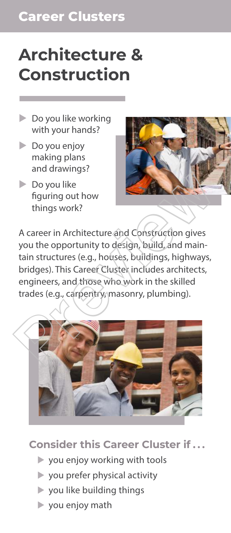# **Architecture & Construction**

- $\triangleright$  Do you like working with your hands?
- $\triangleright$  Do you enjoy making plans and drawings?
- $\triangleright$  Do you like figuring out how things work?



A career in Architecture and Construction gives you the opportunity to design, build, and maintain structures (e.g., houses, buildings, highways, bridges). This Career Cluster includes architects, engineers, and those who work in the skilled trades (e.g., carpentry, masonry, plumbing). Do you like<br>figuring out how<br>things work?<br>A career in Architecture and Construction gives<br>you the opportunity to design, build, and main-<br>tain structures (e.g., houses, buildings, highways,<br>bridges). This Career Cluster in



- **you enjoy working with tools**
- **v** you prefer physical activity
- **you like building things**
- <sup>u</sup>you enjoy math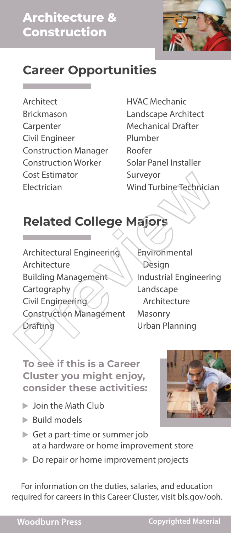

**Architect** Brickmason Carpenter Civil Engineer Construction Manager Construction Worker Cost Estimator Electrician

HVAC Mechanic Landscape Architect Mechanical Drafter Plumber Roofer Solar Panel Installer Surveyor Wind Turbine Technician

# **Related College Majors**

Architectural Engineering Architecture Building Management Cartography Civil Engineering Construction Management Drafting Cost Estimator<br>
Electrician Wind Turbine Technician<br> **Related College Majors**<br>
Architectural Engineering<br>
Architecture<br>
Building Management<br>
Construction Management Masonry<br>
Construction Management Masonry<br>
Drafting Urban

Environmental Design Industrial Engineering Landscape Architecture Masonry Urban Planning

**To see if this is a Career Cluster you might enjoy, consider these activities:**

- $\triangleright$  Join the Math Club
- **E** Build models
- ▶ Get a part-time or summer job at a hardware or home improvement store
- ▶ Do repair or home improvement projects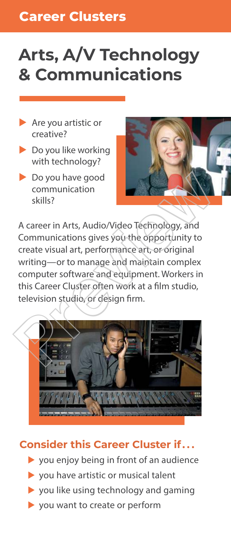# **Arts, A/V Technology & Communications**

- $\blacktriangleright$  Are you artistic or creative?
- $\blacktriangleright$  Do you like working with technology?
- $\triangleright$  Do you have good communication skills?



A career in Arts, Audio/Video Technology, and Communications gives you the opportunity to create visual art, performance art, or original writing—or to manage and maintain complex computer software and equipment. Workers in this Career Cluster often work at a film studio, television studio, or design firm. Do you have good<br>
communication<br>
skills?<br>
A career in Arts, Audio/Video Technology, and<br>
Communications gives you the opportunity to<br>
create visual art, performance art, or original<br>
writing—or to manage and maintain compl



- **you enjoy being in front of an audience**
- **you have artistic or musical talent**
- **you like using technology and gaming**
- **you want to create or perform**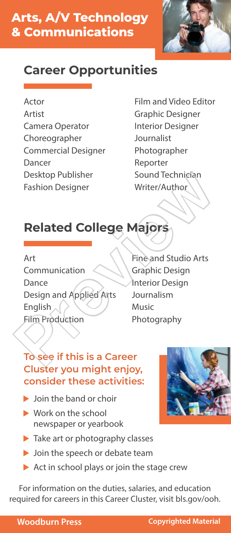

#### Actor

Artist Camera Operator Choreographer Commercial Designer Dancer Desktop Publisher Fashion Designer

Film and Video Editor Graphic Designer Interior Designer Journalist Photographer Reporter Sound Technician Writer/Author

# **Related College Majors**

Art Communication Dance Design and Applied Arts English **Film Production** Desktop Publisher<br>
Fashion Designer<br>
Fashion Designer<br>
Mitter/Author<br>
Writer/Author<br>
Writer/Author<br>
Writer/Author<br>
Writer/Author<br>
Majors<br>
Art<br>
Communication<br>
Dance<br>
Design and Applied Arts<br>
Journalism<br>
English<br>
Music<br>
Phot

Fine and Studio Arts Graphic Design Interior Design Journalism Music Photography

#### **To see if this is a Career Cluster you might enjoy, consider these activities:**

- $\blacktriangleright$  Join the band or choir
- ▶ Work on the school newspaper or yearbook
- **Take art or photography classes**
- **D** Join the speech or debate team
- Act in school plays or join the stage crew

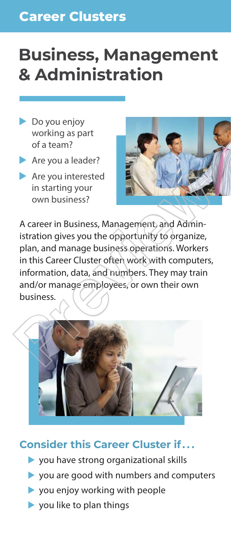# **Business, Management & Administration**

- $\triangleright$  Do you enjoy working as part of a team?
- $\blacktriangleright$  Are you a leader?
- $\blacktriangleright$  Are you interested in starting your own business?



A career in Business, Management, and Administration gives you the opportunity to organize, plan, and manage business operations. Workers in this Career Cluster often work with computers, information, data, and numbers. They may train and/or manage employees, or own their own business. Are you interested<br>
in starting your<br>
own business?<br>
A career in Business, Management, and Administration gives you the opportunity to organize,<br>
plan, and manage business operations. Workers<br>
in this Career Cluster often



- **you have strong organizational skills**
- vou are good with numbers and computers
- **v** you enjoy working with people
- **you like to plan things**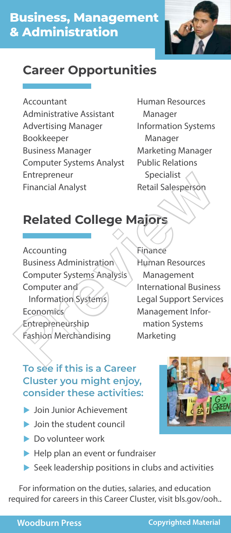

Accountant Administrative Assistant Advertising Manager Bookkeeper Business Manager Computer Systems Analyst Entrepreneur Financial Analyst

Human Resources Manager Information Systems Manager Marketing Manager Public Relations Specialist Retail Salesperson

# **Related College Majors**

Accounting Business Administration Computer Systems Analysis Computer and Information Systems Economics Entrepreneurship Fashion Merchandising Entrepreneur<br>
Financial Analyst<br>
Related College Majors<br>
Accounting<br>
Business Administration<br>
Business Administration<br>
Economics<br>
Computer and<br>
Information Systems<br>
Economics<br>
Economics<br>
Experience:<br>
Management Information

Finance Human Resources Management International Business Legal Support Services Management Infor mation Systems Marketing

#### **To see if this is a Career Cluster you might enjoy, consider these activities:**

- **Loin Junior Achievement**
- **I** Join the student council
- <sup>u</sup>Do volunteer work
- $\blacktriangleright$  Help plan an event or fundraiser
- **•** Seek leadership positions in clubs and activities



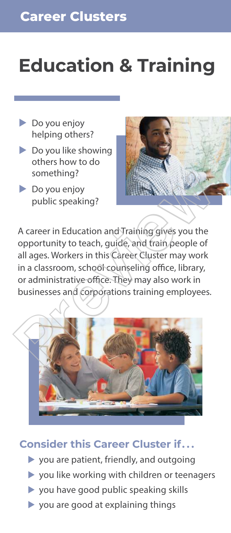# **Education & Training**

- **Do you enjoy** helping others?
- **Do you like showing** others how to do something?
- **Do you enjoy** public speaking?



A career in Education and Training gives you the opportunity to teach, guide, and train people of all ages. Workers in this Career Cluster may work in a classroom, school counseling office, library, or administrative office. They may also work in businesses and corporations training employees. something?<br>
Do you enjoy<br>
public speaking?<br>
A career in Education and Training gives you the<br>
opportunity to teach, guide, and train people of<br>
all ages. Workers in this Career Cluster may work<br>
in a classroom, school coun



- **you are patient, friendly, and outgoing**
- **you like working with children or teenagers**
- **you have good public speaking skills**
- $\blacktriangleright$  you are good at explaining things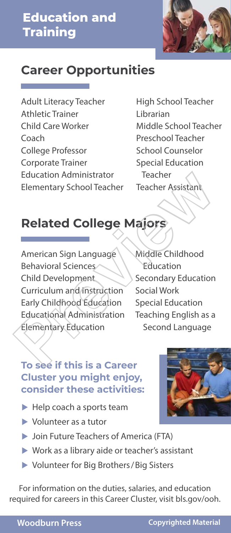

Adult Literacy Teacher Athletic Trainer Child Care Worker Coach College Professor Corporate Trainer Education Administrator Elementary School Teacher

High School Teacher Librarian Middle School Teacher Preschool Teacher School Counselor Special Education Teacher Teacher Assistant

# **Related College Majors**

American Sign Language Behavioral Sciences Child Development Curriculum and Instruction Early Childhood Education Educational Administration Elementary Education Education Administrator Teacher<br>
Elementary School Teacher Teacher Assistant<br> **Related College Majors**<br>
American Sign Language Middle Childhood<br>
Behavioral Sciences<br>
Child Development<br>
Child Development<br>
Child Development<br>

Middle Childhood Education Secondary Education Social Work Special Education Teaching English as a Second Language

#### **To see if this is a Career Cluster you might enjoy, consider these activities:**

- $\blacktriangleright$  Help coach a sports team
- $\blacktriangleright$  Volunteer as a tutor
- ▶ Join Future Teachers of America (FTA)
- <sup>u</sup>Work as a library aide or teacher's assistant
- <sup>u</sup>Volunteer for Big Brothers/Big Sisters

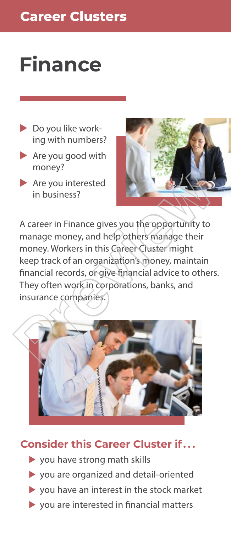# **Finance**

- $\triangleright$  Do you like working with numbers?
- $\blacktriangleright$  Are you good with money?
- $\blacktriangleright$  Are you interested in business?



A career in Finance gives you the opportunity to manage money, and help others manage their money. Workers in this Career Cluster might keep track of an organization's money, maintain financial records, or give financial advice to others. They often work in corporations, banks, and insurance companies. A career in Finance gives you the opportunity to<br>
A career in Finance gives you the opportunity to<br>
manage money, and help others manage their<br>
money. Workers in this Career Cluster might<br>
keep track of an organization's m



- vou have strong math skills
- <sup>u</sup>you are organized and detail-oriented
- <sup>u</sup>you have an interest in the stock market
- $\triangleright$  you are interested in financial matters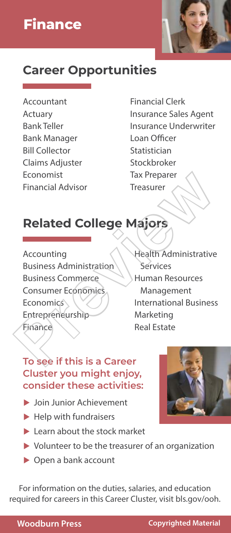

Accountant Actuary Bank Teller Bank Manager Bill Collector Claims Adjuster Economist Financial Advisor

Financial Clerk Insurance Sales Agent Insurance Underwriter Loan Officer Statistician Stockbroker Tax Preparer Treasurer

# **Related College Majors**

Accounting Business Administration Business Commerce Consumer Economics Economics<sup>®</sup> Entrepreneurship Finance Economist<br>
Financial Advisor<br>
Treasurer<br> **Related College Majors**<br>
Accounting<br>
Business Administration<br>
Business Administration<br>
Business Administration<br>
Business Commerce<br>
Consumer Economics<br>
Economics<br>
Entrepreneurship<br>

Health Administrative Services Human Resources Management International Business Marketing Real Estate

#### **To see if this is a Career Cluster you might enjoy, consider these activities:**

- **Loin Junior Achievement**
- Help with fundraisers
- **Learn about the stock market**
- ▶ Volunteer to be the treasurer of an organization
- ▶ Open a bank account

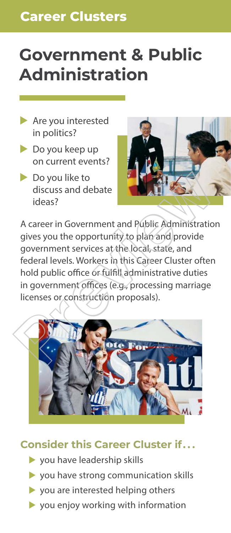# **Government & Public Administration**

- $\blacktriangleright$  Are you interested in politics?
- $\blacktriangleright$  Do you keep up on current events?
- $\blacktriangleright$  Do you like to discuss and debate ideas?



A career in Government and Public Administration gives you the opportunity to plan and provide government services at the local, state, and federal levels. Workers in this Career Cluster often hold public office or fulfill administrative duties in government offices (e.g., processing marriage licenses or construction proposals). Do you like to<br>
discuss and debate<br>
ideas?<br>
A career in Government and Public Administration<br>
gives you the opportunity to plan and provide<br>
government services at the local, state, and<br>
federal levels. Workers in this Car



- vou have leadership skills
- **you have strong communication skills**
- vou are interested helping others
- $\triangleright$  you enjoy working with information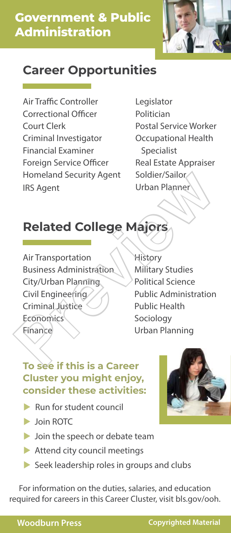

Air Traffic Controller Correctional Officer Court Clerk Criminal Investigator Financial Examiner Foreign Service Officer Homeland Security Agent IRS Agent

Legislator Politician Postal Service Worker Occupational Health Specialist Real Estate Appraiser Soldier/Sailor Urban Planner

# **Related College Majors**

Air Transportation Business Administration City/Urban Planning Civil Engineering Criminal Justice Economics **Finance** Homeland Security Agent<br>
IRS Agent<br>
Urban Planner<br>
Urban Planner<br>
Prevident Urban Planner<br>
Air Transportation<br>
Air Transportation<br>
Business Administration<br>
Public Administration<br>
Civil Engineering<br>
Civil Engineering<br>
Civil

**History** Military Studies Political Science Public Administration Public Health Sociology Urban Planning

#### **To see if this is a Career Cluster you might enjoy, consider these activities:**

- $\blacktriangleright$  Run for student council
- **D** Join ROTC
- **I** Join the speech or debate team
- **Attend city council meetings**
- **Seek leadership roles in groups and clubs**



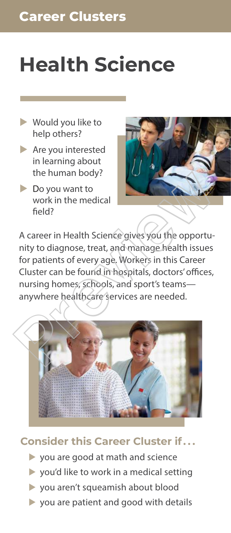# **Health Science**

- $\blacktriangleright$  Would you like to help others?
- $\blacktriangleright$  Are you interested in learning about the human body?
- $\triangleright$  Do you want to work in the medical field?



A career in Health Science gives you the opportunity to diagnose, treat, and manage health issues for patients of every age. Workers in this Career Cluster can be found in hospitals, doctors' offices, nursing homes, schools, and sport's teams anywhere healthcare services are needed. The human body?<br>
Do you want to<br>
work in the medical<br>
field?<br>
A career in Health Science gives you the opportunity to diagnose, treat, and manage health issues<br>
for patients of every age. Workers in this Career<br>
Cluster ca



- **you are good at math and science**
- **•** you'd like to work in a medical setting
- **v** you aren't squeamish about blood
- **you are patient and good with details**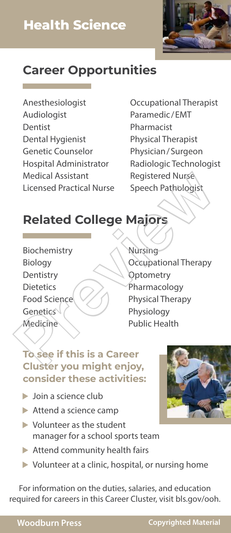

Anesthesiologist Audiologist Dentist Dental Hygienist Genetic Counselor Hospital Administrator Medical Assistant Licensed Practical Nurse

Occupational Therapist Paramedic/EMT Pharmacist Physical Therapist Physician/Surgeon Radiologic Technologist Registered Nurse Speech Pathologist

# **Related College Majors**

- Biochemistry Biology **Dentistry** Dietetics Food Science **Genetics** Medicine
- Nursing Occupational Therapy **Optometry** Pharmacology Physical Therapy Physiology Public Health Medical Assistant<br>
Licensed Practical Nurse<br>
Speech Pathologist<br>
Related College Majors<br>
Biochemistry<br>
Biology<br>
Dentistry<br>
Dietetics<br>
Food Science<br>
Christen Volumight enjoy<br>
Physiology<br>
Physiology<br>
Physiology<br>
Physiology<br>

#### **To see if this is a Career Cluster you might enjoy, consider these activities:**

- $\blacktriangleright$  Join a science club
- **Attend a science camp**
- <sup>u</sup>Volunteer as the student manager for a school sports team
- ▶ Attend community health fairs
- ▶ Volunteer at a clinic, hospital, or nursing home

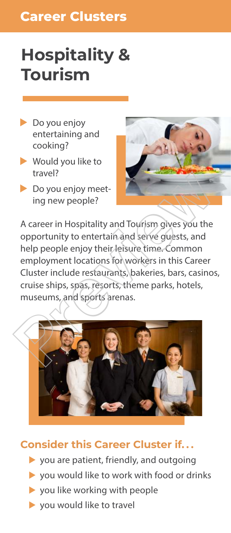## **Career Clusters**

# **Hospitality & Tourism**

- **Do you enjoy** entertaining and cooking?
- $\blacktriangleright$  Would you like to travel?
- Do you enjoy meeting new people?



A career in Hospitality and Tourism gives you the opportunity to entertain and serve guests, and help people enjoy their leisure time. Common employment locations for workers in this Career Cluster include restaurants, bakeries, bars, casinos, cruise ships, spas, resorts, theme parks, hotels, museums, and sports arenas. travel?<br>
Do you enjoy meet-<br>
ing new people?<br>
A career in Hospitality and Tourism gives you the<br>
opportunity to entertain and serve guests, and<br>
help people enjoy their leisure time. Common<br>
employment locations for worker



- **•** you are patient, friendly, and outgoing
- ▶ you would like to work with food or drinks
- **•** you like working with people
- $\triangleright$  you would like to travel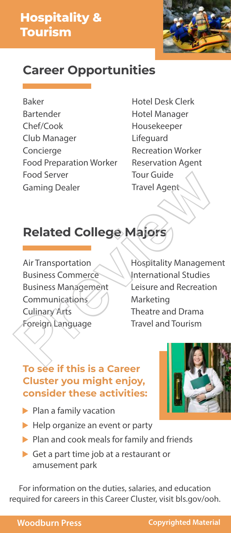# **Hospitality & Tourism**



### **Career Opportunities**

Baker Bartender Chef/Cook Club Manager Concierge Food Preparation Worker Food Server Gaming Dealer

Hotel Desk Clerk Hotel Manager Housekeeper Lifeguard Recreation Worker Reservation Agent Tour Guide Travel Agent

# **Related College Majors**

Air Transportation Business Commerce Business Management Communications Culinary Arts Foreign Language

Hospitality Management International Studies Leisure and Recreation Marketing Theatre and Drama Travel and Tourism Food Server<br>
Gaming Dealer<br>
Travel Agent<br>
Travel Agent<br>
Travel Agent<br>
Travel Agent<br>
Travel Agent<br>
Air Transportation<br>
Business Commerce<br>
Puternational Studies<br>
Business Management<br>
Communication<br>
Culinary Arts<br>
Culinary Ar

#### **To see if this is a Career Cluster you might enjoy, consider these activities:**



- $\blacktriangleright$  Plan a family vacation
- ▶ Help organize an event or party
- **Plan and cook meals for family and friends**
- Get a part time job at a restaurant or amusement park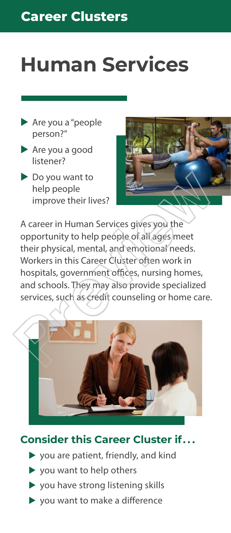# **Human Services**

- $\blacktriangleright$  Are you a "people person?"
- $\blacktriangleright$  Are you a good listener?
- $\triangleright$  Do you want to help people improve their lives?



A career in Human Services gives you the opportunity to help people of all ages meet their physical, mental, and emotional needs. Workers in this Career Cluster often work in hospitals, government offices, nursing homes, and schools. They may also provide specialized services, such as credit counseling or home care. Do you want to<br>
help people<br>
improve their lives?<br>
A career in Human Services gives you the<br>
opportunity to help people of all ages meet<br>
their physical, mental, and emotional needs.<br>
Workers in this Career Cluster often w



- <sup>u</sup>you are patient, friendly, and kind
- **•** you want to help others
- vou have strong listening skills
- $\blacktriangleright$  you want to make a difference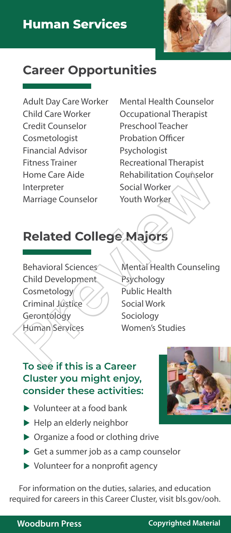

Adult Day Care Worker Child Care Worker Credit Counselor Cosmetologist Financial Advisor Fitness Trainer Home Care Aide Interpreter Marriage Counselor

Mental Health Counselor Occupational Therapist Preschool Teacher Probation Officer Psychologist Recreational Therapist Rehabilitation Counselor Social Worker Youth Worker

# **Related College Majors**

Behavioral Sciences Child Development Cosmetology Criminal Jústice **Gerontology** Human Services

Mental Health Counseling Psychology Public Health Social Work Sociology Women's Studies Home Care Aide<br>
Interpreter<br>
Marriage Counselor<br>
Marriage Counselor<br>
Youth Worker<br>
Social Worker<br> **Related College Majors<br>
Behavioral Sciences<br>
Behavioral Sciences<br>
Mental Health Counseling<br>
Cosmetology<br>
Cosmetology<br>
Cosme** 

#### **To see if this is a Career Cluster you might enjoy, consider these activities:**

- $\blacktriangleright$  Volunteer at a food bank
- ▶ Help an elderly neighbor
- ▶ Organize a food or clothing drive
- ▶ Get a summer job as a camp counselor
- ▶ Volunteer for a nonprofit agency

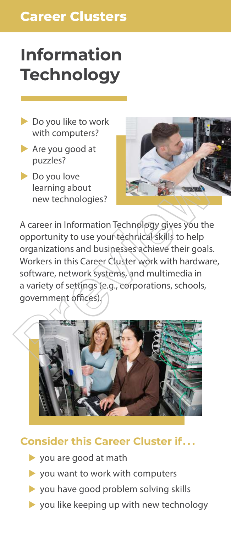## **Career Clusters**

# **Information Technology**

- **Do you like to work** with computers?
- **Are you good at** puzzles?
- **Do you love** learning about new technologies?



A career in Information Technology gives you the opportunity to use your technical skills to help organizations and businesses achieve their goals. Workers in this Career Cluster work with hardware, software, network systems, and multimedia in a variety of settings (e.g., corporations, schools, government offices). Do you love<br>
new technologies?<br>
A career in Information Technology gives you the<br>
opportunity to use your technology gives you the<br>
organizations and businesses achieve their goals.<br>
Workers in this Career Cluster work wit



- <sup>u</sup>you are good at math
- **you want to work with computers**
- **•** you have good problem solving skills
- $\triangleright$  you like keeping up with new technology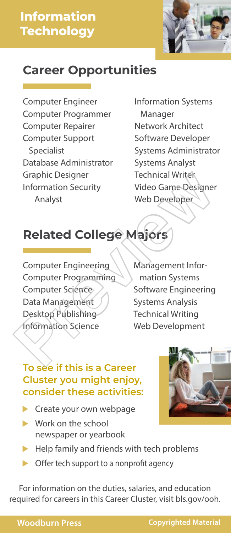# **Information Technology**



## **Career Opportunities**

Computer Engineer Computer Programmer Computer Repairer Computer Support Specialist Database Administrator Graphic Designer Information Security Analyst

Information Systems Manager Network Architect Software Developer Systems Administrator Systems Analyst **Technical Writer** Video Game Designer Web Developer

# **Related College Majors**

Computer Engineering Computer Programming Computer Science Data Management Desktop Publishing Information Science Graphic Designer<br>
Information Security<br>
Analyst<br>
Meb Developer<br>
Meb Developer<br>
Related College Majors<br>
Computer Engineering<br>
Computer Programming<br>
Management Information Systems<br>
Computer Science<br>
Data Management<br>
Desktop

Management Infor mation Systems Software Engineering Systems Analysis Technical Writing Web Development

#### **To see if this is a Career Cluster you might enjoy, consider these activities:**

- $\blacktriangleright$  Create your own webpage
- $\blacktriangleright$  Work on the school newspaper or yearbook
- $\blacktriangleright$  Help family and friends with tech problems
- $\triangleright$  Offer tech support to a nonprofit agency

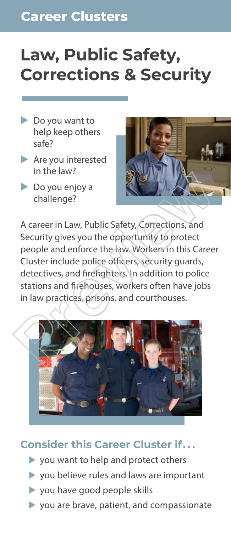# **Law, Public Safety, Corrections & Security**

- $\triangleright$  Do you want to help keep others safe?
- $\blacktriangleright$  Are you interested in the law?
- $\triangleright$  Do you enjoy a challenge?



A career in Law, Public Safety, Corrections, and Security gives you the opportunity to protect people and enforce the law. Workers in this Career Cluster include police officers, security guards, detectives, and firefighters. In addition to police stations and firehouses, workers often have jobs in law practices, prisons, and courthouses. Previously and the transfer of the transfer of the transfer of the transfer of the transfer of the transfer of the transfer of the transfer of the transfer of the transfer of the transfer of the stations and firefulness, w



- **you want to help and protect others**
- **you believe rules and laws are important**
- vou have good people skills
- $\triangleright$  you are brave, patient, and compassionate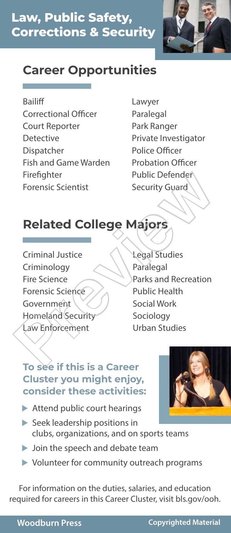

#### Bailiff

- Correctional Officer Court Reporter Detective Dispatcher Fish and Game Warden Firefighter Forensic Scientist
- Lawyer Paralegal Park Ranger Private Investigator Police Officer Probation Officer Public Defender Security Guard

# **Related College Majors**

- Criminal Justice Criminology Fire Science Forensic Science **Government** Homeland Security Law Enforcement
- Legal Studies Paralegal Parks and Recreation Public Health Social Work Sociology Urban Studies Firefighter<br>
Forensic Scientist<br>
Forensic Scientist<br> **Related College Majors**<br>
Criminal Justice<br>
Criminal Justice<br>
Criminal Justice<br>
Criminal Justice<br>
Criminal Street<br>
Parks and Recreation<br>
Parks and Recreation<br>
Parks and

#### **To see if this is a Career Cluster you might enjoy, consider these activities:**

- ▶ Attend public court hearings
- **Execute 2 Seek leadership positions in** clubs, organizations, and on sports teams
- **D** Join the speech and debate team
- **Volunteer for community outreach programs**

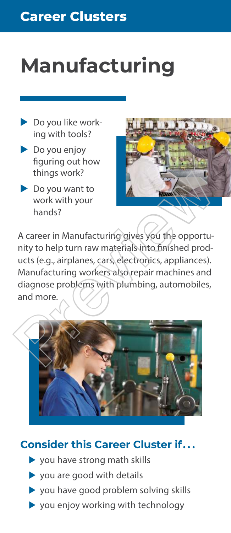# **Manufacturing**

- $\triangleright$  Do you like working with tools?
- $\triangleright$  Do you enjoy figuring out how things work?
- $\triangleright$  Do you want to work with your hands?



A career in Manufacturing gives you the opportunity to help turn raw materials into finished products (e.g., airplanes, cars, electronics, appliances). Manufacturing workers also repair machines and diagnose problems with plumbing, automobiles, and more. things work!<br>
Do you want to<br>
work with your<br>
hands?<br>
A career in Manufacturing gives you the opportunity to help turn raw materials into finished products (e.g., airplanes, cars, electronics, appliances).<br>
Manufacturing w



- vou have strong math skills
- vou are good with details
- **you have good problem solving skills**
- $\triangleright$  you enjoy working with technology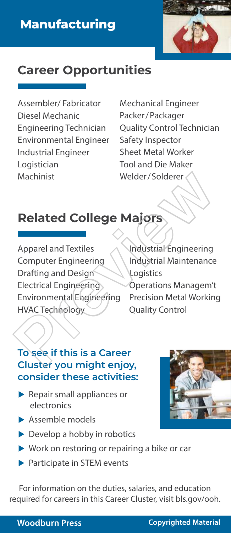

Assembler/ Fabricator Diesel Mechanic Engineering Technician Environmental Engineer Industrial Engineer Logistician Machinist

Mechanical Engineer Packer/Packager Quality Control Technician Safety Inspector Sheet Metal Worker Tool and Die Maker Welder/Solderer

# **Related College Majors**

Apparel and Textiles Computer Engineering Drafting and Design Electrical Engineering Environmental Engineering HVAC Technology Machinist<br>
Welder/Solderer<br>
Related College Majors<br>
Apparel and Textiles<br>
Computer Engineering<br>
Drafting and Design<br>
Electrical Engineering<br>
Electrical Engineering<br>
Precision Managem<br>
Electrical Engineering<br>
Precision Meta

Industrial Engineering Industrial Maintenance **Logistics** Operations Managem't Precision Metal Working Quality Control

#### **To see if this is a Career Cluster you might enjoy, consider these activities:**

- **Repair small appliances or** electronics
- **Assemble models**
- **Develop a hobby in robotics**
- ▶ Work on restoring or repairing a bike or car
- **Participate in STEM events**

For information on the duties, salaries, and education required for careers in this Career Cluster, visit bls.gov/ooh.

#### **Woodburn Press Copyrighted Material**

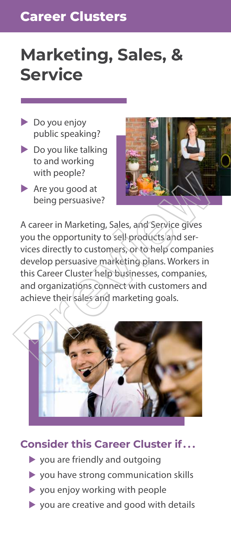## **Career Clusters**

# **Marketing, Sales, & Service**

- $\triangleright$  Do you enjoy public speaking?
- $\triangleright$  Do you like talking to and working with people?
- $\blacktriangleright$  Are you good at being persuasive?



A career in Marketing, Sales, and Service gives you the opportunity to sell products and services directly to customers, or to help companies develop persuasive marketing plans. Workers in this Career Cluster help businesses, companies, and organizations connect with customers and achieve their sales and marketing goals. With people?<br>
Are you good at<br>
being persuasive?<br>
A career in Marketing, Sales, and Service gives<br>
you the opportunity to sell products and services directly to customers, or to help companies<br>
develop persuasive marketing



- **you are friendly and outgoing**
- **you have strong communication skills**
- **•** you enjoy working with people
- $\triangleright$  you are creative and good with details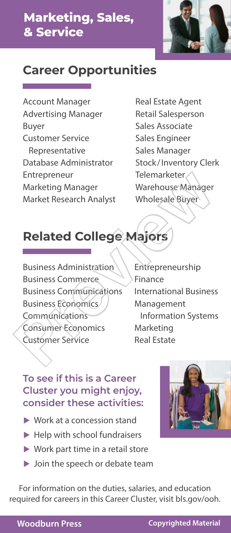

Account Manager Advertising Manager Buyer Customer Service Representative Database Administrator Entrepreneur Marketing Manager Market Research Analyst

Real Estate Agent Retail Salesperson Sales Associate Sales Engineer Sales Manager Stock/Inventory Clerk Telemarketer Warehouse Manager Wholesale Buyer

# **Related College Majors**

Business Administration Business Commerce Business Communications Business Economics Communications Consumer Economics Customer Service Entrepreneur<br>
Marketing Manager<br>
Market Research Analyst<br>
Market Research Analyst<br>
Wholesale Buyer<br>
Preview Market Research Analyst<br>
Preview Marketing<br>
Business Communications<br>
Business Communications<br>
Eusiness Communicati

Entrepreneurship Finance International Business Management Information Systems Marketing Real Estate

#### **To see if this is a Career Cluster you might enjoy, consider these activities:**

- ▶ Work at a concession stand
- Help with school fundraisers
- ▶ Work part time in a retail store
- ▶ Join the speech or debate team

For information on the duties, salaries, and education required for careers in this Career Cluster, visit bls.gov/ooh.

#### **Woodburn Press Copyrighted Material**

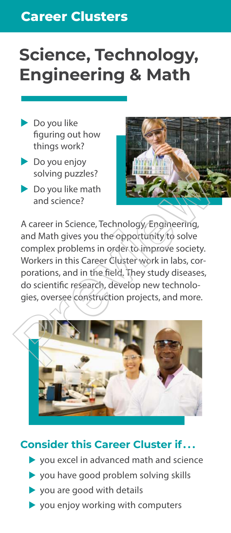## **Career Clusters**

# **Science, Technology, Engineering & Math**

- $\blacktriangleright$  Do you like figuring out how things work?
- $\blacktriangleright$  Do you enjoy solving puzzles?
- $\blacktriangleright$  Do you like math and science?



A career in Science, Technology, Engineering, and Math gives you the opportunity to solve complex problems in order to improve society. Workers in this Career Cluster work in labs, corporations, and in the field. They study diseases, do scientific research, develop new technologies, oversee construction projects, and more. Solving puzzles?<br>
Do you like math<br>
and science?<br>
A career in Science, Technology Engineering,<br>
and Math gives you the opportunity to solve<br>
complex problems in order to improve society.<br>
Workers in this Career Cluster wor



- $\blacktriangleright$  you excel in advanced math and science
- **•** you have good problem solving skills
- vou are good with details
- $\blacktriangleright$  you enjoy working with computers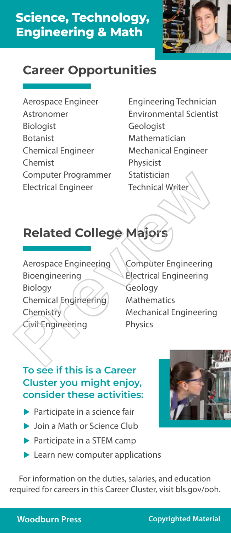

- Aerospace Engineer Astronomer Biologist Botanist Chemical Engineer Chemist Computer Programmer Electrical Engineer
- Engineering Technician Environmental Scientist **Geologist** Mathematician Mechanical Engineer Physicist Statistician Technical Writer

# **Related College Majors**

- Aerospace Engineering Bioengineering Biology Chemical Engineering **Chemistry** Civil Engineering Computer Programmer<br>
Electrical Engineer<br>
Technical Writer<br>
Related College Majors<br>
Aerospace Engineering<br>
Biology<br>
Chemical Engineering<br>
Biology<br>
Chemical Engineering<br>
Chemistry<br>
Civil Engineering<br>
Physics<br>
The Mathematic
	- Computer Engineering Electrical Engineering Geology **Mathematics** Mechanical Engineering Physics

#### **To see if this is a Career Cluster you might enjoy, consider these activities:**

- **Participate in a science fair**
- $\blacktriangleright$  Join a Math or Science Club
- **Participate in a STEM camp**
- **Learn new computer applications**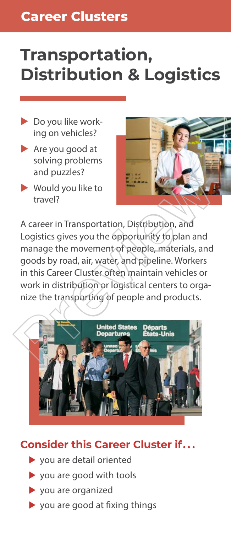# **Transportation, Distribution & Logistics**

- $\blacktriangleright$  Do you like working on vehicles?
- $\blacktriangleright$  Are you good at solving problems and puzzles?
- Would you like to travel?



A career in Transportation, Distribution, and Logistics gives you the opportunity to plan and manage the movement of people, materials, and goods by road, air, water, and pipeline. Workers in this Career Cluster often maintain vehicles or work in distribution or logistical centers to organize the transporting of people and products. and puzzles?<br>
Vould you like to<br>
travel?<br>
A career in Transportation, Distribution, and<br>
Logistics gives you the opportunity to plan and<br>
manage the movement of people, materials, and<br>
goods by road, air, water, and pipeli



- $\blacktriangleright$  you are detail oriented
- **v** you are good with tools
- $\blacktriangleright$  you are organized
- $\triangleright$  you are good at fixing things